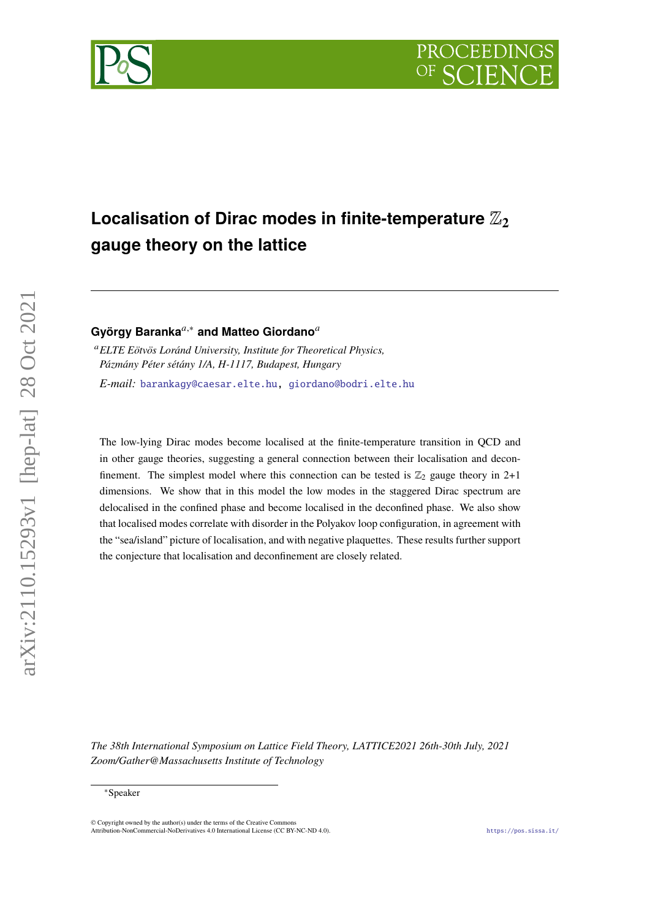



# Localisation of Dirac modes in finite-temperature  $\mathbb{Z}_2$ **gauge theory on the lattice**

**György Baranka**,<sup>∗</sup> **and Matteo Giordano**

*ELTE Eötvös Loránd University, Institute for Theoretical Physics, Pázmány Péter sétány 1/A, H-1117, Budapest, Hungary E-mail:* [barankagy@caesar.elte.hu,](mailto:barankagy@caesar.elte.hu) [giordano@bodri.elte.hu](mailto:giordano@bodri.elte.hu)

The low-lying Dirac modes become localised at the finite-temperature transition in QCD and in other gauge theories, suggesting a general connection between their localisation and deconfinement. The simplest model where this connection can be tested is  $\mathbb{Z}_2$  gauge theory in 2+1 dimensions. We show that in this model the low modes in the staggered Dirac spectrum are delocalised in the confined phase and become localised in the deconfined phase. We also show that localised modes correlate with disorder in the Polyakov loop configuration, in agreement with the "sea/island" picture of localisation, and with negative plaquettes. These results further support the conjecture that localisation and deconfinement are closely related.

*The 38th International Symposium on Lattice Field Theory, LATTICE2021 26th-30th July, 2021 Zoom/Gather@Massachusetts Institute of Technology*

arXiv:2110.15293v1 [hep-lat] 28 Oct 2021

<sup>∗</sup>Speaker

 $\odot$  Copyright owned by the author(s) under the terms of the Creative Common Attribution-NonCommercial-NoDerivatives 4.0 International License (CC BY-NC-ND 4.0). <https://pos.sissa.it/>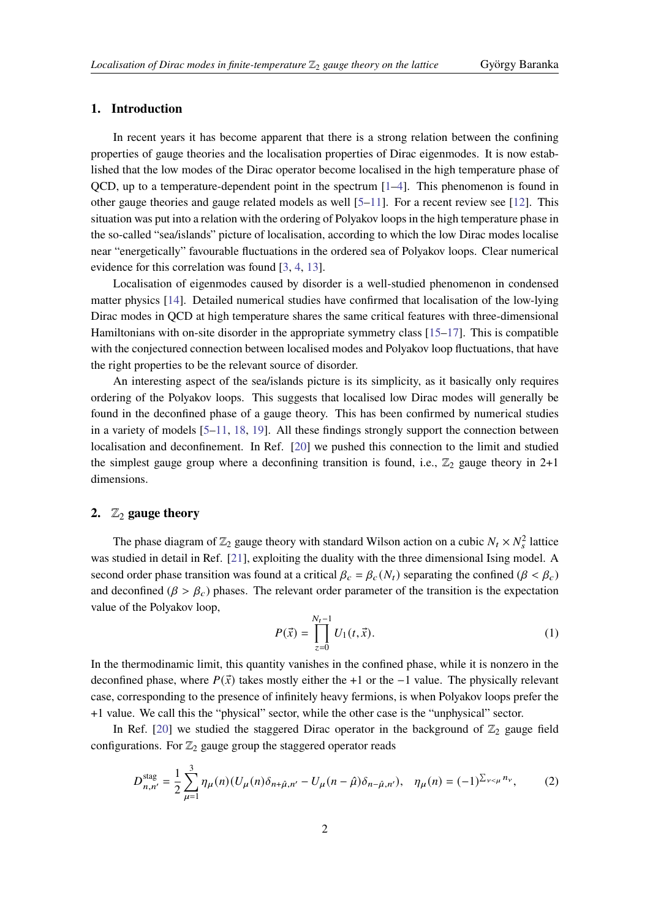### **1. Introduction**

In recent years it has become apparent that there is a strong relation between the confining properties of gauge theories and the localisation properties of Dirac eigenmodes. It is now established that the low modes of the Dirac operator become localised in the high temperature phase of OCD, up to a temperature-dependent point in the spectrum  $[1-4]$  $[1-4]$ . This phenomenon is found in other gauge theories and gauge related models as well  $[5-11]$  $[5-11]$ . For a recent review see [\[12\]](#page-7-1). This situation was put into a relation with the ordering of Polyakov loops in the high temperature phase in the so-called "sea/islands" picture of localisation, according to which the low Dirac modes localise near "energetically" favourable fluctuations in the ordered sea of Polyakov loops. Clear numerical evidence for this correlation was found [\[3,](#page-6-3) [4,](#page-6-1) [13\]](#page-7-2).

Localisation of eigenmodes caused by disorder is a well-studied phenomenon in condensed matter physics [\[14\]](#page-7-3). Detailed numerical studies have confirmed that localisation of the low-lying Dirac modes in QCD at high temperature shares the same critical features with three-dimensional Hamiltonians with on-site disorder in the appropriate symmetry class [\[15](#page-7-4)[–17\]](#page-7-5). This is compatible with the conjectured connection between localised modes and Polyakov loop fluctuations, that have the right properties to be the relevant source of disorder.

An interesting aspect of the sea/islands picture is its simplicity, as it basically only requires ordering of the Polyakov loops. This suggests that localised low Dirac modes will generally be found in the deconfined phase of a gauge theory. This has been confirmed by numerical studies in a variety of models  $[5-11, 18, 19]$  $[5-11, 18, 19]$  $[5-11, 18, 19]$  $[5-11, 18, 19]$  $[5-11, 18, 19]$  $[5-11, 18, 19]$ . All these findings strongly support the connection between localisation and deconfinement. In Ref. [\[20\]](#page-7-8) we pushed this connection to the limit and studied the simplest gauge group where a deconfining transition is found, i.e.,  $\mathbb{Z}_2$  gauge theory in 2+1 dimensions.

## **2.**  $\mathbb{Z}_2$  **gauge theory**

The phase diagram of  $\mathbb{Z}_2$  gauge theory with standard Wilson action on a cubic  $N_t \times N_s^2$  lattice was studied in detail in Ref. [\[21\]](#page-7-9), exploiting the duality with the three dimensional Ising model. A second order phase transition was found at a critical  $\beta_c = \beta_c(N_t)$  separating the confined  $(\beta < \beta_c)$ and deconfined ( $\beta > \beta_c$ ) phases. The relevant order parameter of the transition is the expectation value of the Polyakov loop,

$$
P(\vec{x}) = \prod_{z=0}^{N_t - 1} U_1(t, \vec{x}).
$$
 (1)

In the thermodinamic limit, this quantity vanishes in the confined phase, while it is nonzero in the deconfined phase, where  $P(\vec{x})$  takes mostly either the +1 or the −1 value. The physically relevant case, corresponding to the presence of infinitely heavy fermions, is when Polyakov loops prefer the +1 value. We call this the "physical" sector, while the other case is the "unphysical" sector.

In Ref. [\[20\]](#page-7-8) we studied the staggered Dirac operator in the background of  $\mathbb{Z}_2$  gauge field configurations. For  $\mathbb{Z}_2$  gauge group the staggered operator reads

$$
D_{n,n'}^{\text{stag}} = \frac{1}{2} \sum_{\mu=1}^{3} \eta_{\mu}(n) (U_{\mu}(n)\delta_{n+\hat{\mu},n'} - U_{\mu}(n-\hat{\mu})\delta_{n-\hat{\mu},n'}), \quad \eta_{\mu}(n) = (-1)^{\sum_{\nu < \mu} n_{\nu}},\tag{2}
$$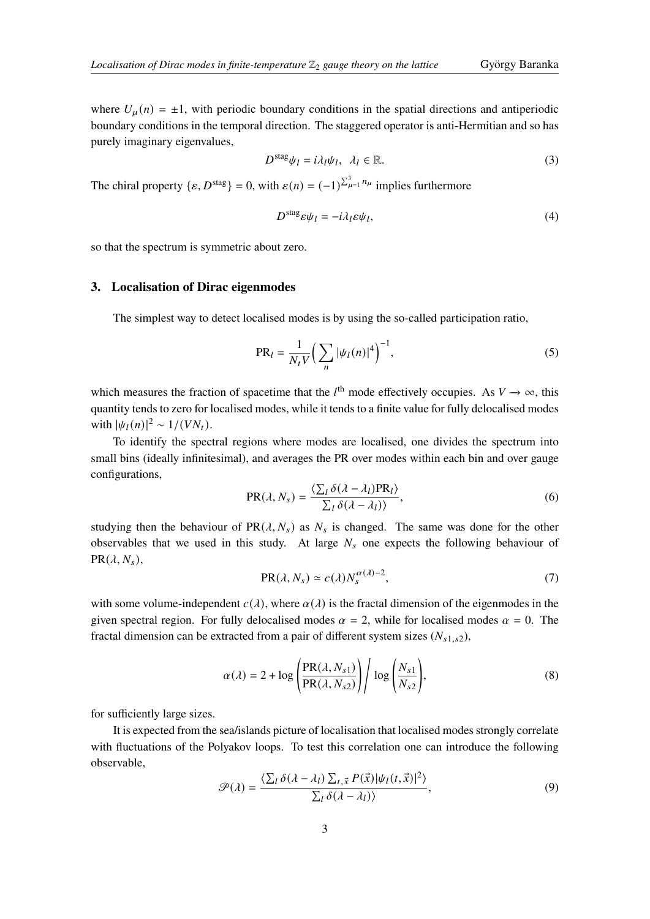where  $U_{\mu}(n) = \pm 1$ , with periodic boundary conditions in the spatial directions and antiperiodic boundary conditions in the temporal direction. The staggered operator is anti-Hermitian and so has purely imaginary eigenvalues,

$$
D^{\text{stag}}\psi_l = i\lambda_l \psi_l, \ \lambda_l \in \mathbb{R}.\tag{3}
$$

The chiral property  $\{\varepsilon, D^{\text{stag}}\} = 0$ , with  $\varepsilon(n) = (-1)^{\sum_{\mu=1}^{3} n_{\mu}}$  implies furthermore

$$
D^{\text{stag}} \varepsilon \psi_l = -i\lambda_l \varepsilon \psi_l,\tag{4}
$$

so that the spectrum is symmetric about zero.

## **3. Localisation of Dirac eigenmodes**

The simplest way to detect localised modes is by using the so-called participation ratio,

$$
PR_{l} = \frac{1}{N_{t}V} \left( \sum_{n} |\psi_{l}(n)|^{4} \right)^{-1},
$$
\n(5)

which measures the fraction of spacetime that the  $l^{\text{th}}$  mode effectively occupies. As  $V \rightarrow \infty$ , this quantity tends to zero for localised modes, while it tends to a finite value for fully delocalised modes with  $|\psi_1(n)|^2 \sim 1/(VN_t)$ .

To identify the spectral regions where modes are localised, one divides the spectrum into small bins (ideally infinitesimal), and averages the PR over modes within each bin and over gauge configurations,

$$
PR(\lambda, N_s) = \frac{\langle \sum_l \delta(\lambda - \lambda_l) PR_l \rangle}{\sum_l \delta(\lambda - \lambda_l) \rangle},
$$
\n(6)

studying then the behaviour of  $PR(\lambda, N_s)$  as  $N_s$  is changed. The same was done for the other observables that we used in this study. At large  $N_s$  one expects the following behaviour of  $PR(\lambda, N_s),$ 

$$
PR(\lambda, N_s) \simeq c(\lambda) N_s^{\alpha(\lambda)-2},\tag{7}
$$

with some volume-independent  $c(\lambda)$ , where  $\alpha(\lambda)$  is the fractal dimension of the eigenmodes in the given spectral region. For fully delocalised modes  $\alpha = 2$ , while for localised modes  $\alpha = 0$ . The fractal dimension can be extracted from a pair of different system sizes  $(N_{s1,s2}),$ 

$$
\alpha(\lambda) = 2 + \log \left( \frac{\text{PR}(\lambda, N_{s1})}{\text{PR}(\lambda, N_{s2})} \right) / \log \left( \frac{N_{s1}}{N_{s2}} \right),\tag{8}
$$

for sufficiently large sizes.

It is expected from the sea/islands picture of localisation that localised modes strongly correlate with fluctuations of the Polyakov loops. To test this correlation one can introduce the following observable,

$$
\mathcal{P}(\lambda) = \frac{\langle \sum_{l} \delta(\lambda - \lambda_{l}) \sum_{t, \vec{x}} P(\vec{x}) | \psi_{l}(t, \vec{x}) |^{2} \rangle}{\sum_{l} \delta(\lambda - \lambda_{l})},
$$
\n(9)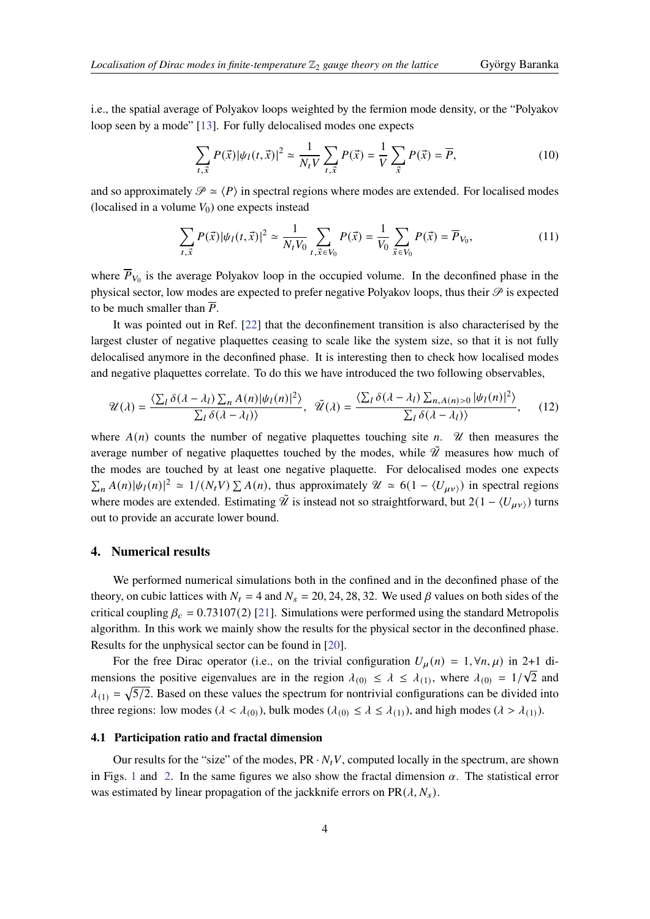i.e., the spatial average of Polyakov loops weighted by the fermion mode density, or the "Polyakov loop seen by a mode" [\[13\]](#page-7-2). For fully delocalised modes one expects

$$
\sum_{t,\vec{x}} P(\vec{x}) |\psi_l(t,\vec{x})|^2 \simeq \frac{1}{N_t V} \sum_{t,\vec{x}} P(\vec{x}) = \frac{1}{V} \sum_{\vec{x}} P(\vec{x}) = \overline{P},\tag{10}
$$

and so approximately  $\mathcal{P} \simeq \langle P \rangle$  in spectral regions where modes are extended. For localised modes (localised in a volume  $V_0$ ) one expects instead

$$
\sum_{t,\vec{x}} P(\vec{x}) |\psi_l(t,\vec{x})|^2 \simeq \frac{1}{N_t V_0} \sum_{t,\vec{x} \in V_0} P(\vec{x}) = \frac{1}{V_0} \sum_{\vec{x} \in V_0} P(\vec{x}) = \overline{P}_{V_0},\tag{11}
$$

where  $\overline{P}_{V_0}$  is the average Polyakov loop in the occupied volume. In the deconfined phase in the physical sector, low modes are expected to prefer negative Polyakov loops, thus their  $\mathcal P$  is expected to be much smaller than  $\overline{P}$ .

It was pointed out in Ref. [\[22\]](#page-7-10) that the deconfinement transition is also characterised by the largest cluster of negative plaquettes ceasing to scale like the system size, so that it is not fully delocalised anymore in the deconfined phase. It is interesting then to check how localised modes and negative plaquettes correlate. To do this we have introduced the two following observables,

$$
\mathcal{U}(\lambda) = \frac{\langle \sum_{l} \delta(\lambda - \lambda_{l}) \sum_{n} A(n) |\psi_{l}(n)|^{2} \rangle}{\sum_{l} \delta(\lambda - \lambda_{l})}, \quad \tilde{\mathcal{U}}(\lambda) = \frac{\langle \sum_{l} \delta(\lambda - \lambda_{l}) \sum_{n, A(n) > 0} |\psi_{l}(n)|^{2} \rangle}{\sum_{l} \delta(\lambda - \lambda_{l})}, \quad (12)
$$

where  $A(n)$  counts the number of negative plaquettes touching site n.  $\mathcal U$  then measures the average number of negative plaquettes touched by the modes, while  $\tilde{\mathcal{U}}$  measures how much of the modes are touched by at least one negative plaquette. For delocalised modes one expects  $\sum_{n} A(n) |\psi_{l}(n)|^{2} \simeq 1/(N_{t}V) \sum_{n} A(n)$ , thus approximately  $\mathcal{U} \simeq 6(1 - \langle U_{\mu\nu\rangle})$  in spectral regions where modes are extended. Estimating  $\tilde{\mathcal{U}}$  is instead not so straightforward, but  $2(1 - \langle U_{\mu\nu} \rangle)$  turns out to provide an accurate lower bound.

#### **4. Numerical results**

We performed numerical simulations both in the confined and in the deconfined phase of the theory, on cubic lattices with  $N_t = 4$  and  $N_s = 20, 24, 28, 32$ . We used  $\beta$  values on both sides of the critical coupling  $\beta_c = 0.73107(2)$  [\[21\]](#page-7-9). Simulations were performed using the standard Metropolis algorithm. In this work we mainly show the results for the physical sector in the deconfined phase. Results for the unphysical sector can be found in [\[20\]](#page-7-8).

For the free Dirac operator (i.e., on the trivial configuration  $U_{\mu}(n) = 1, \forall n, \mu$ ) in 2+1 dimensions the positive eigenvalues are in the region  $\lambda_{(0)} \leq \lambda \leq \lambda_{(1)}$ , where  $\lambda_{(0)} = 1/\sqrt{2}$  and  $\lambda_{(1)} = \sqrt{5/2}$ . Based on these values the spectrum for nontrivial configurations can be divided into three regions: low modes ( $\lambda < \lambda_{(0)}$ ), bulk modes ( $\lambda_{(0)} \leq \lambda \leq \lambda_{(1)}$ ), and high modes ( $\lambda > \lambda_{(1)}$ ).

#### **4.1 Participation ratio and fractal dimension**

Our results for the "size" of the modes,  $PR \cdot N_t V$ , computed locally in the spectrum, are shown in Figs. [1](#page-4-0) and [2.](#page-4-1) In the same figures we also show the fractal dimension  $\alpha$ . The statistical error was estimated by linear propagation of the jackknife errors on  $PR(\lambda, N_s)$ .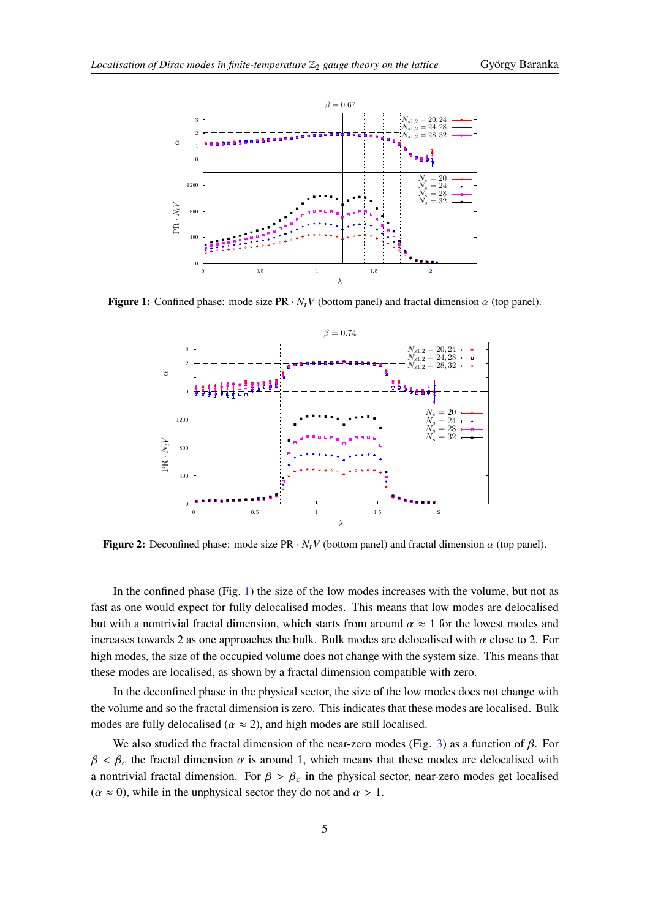<span id="page-4-0"></span>

<span id="page-4-1"></span>**Figure 1:** Confined phase: mode size PR  $\cdot N_t V$  (bottom panel) and fractal dimension  $\alpha$  (top panel).



**Figure 2:** Deconfined phase: mode size PR  $\cdot N_t V$  (bottom panel) and fractal dimension  $\alpha$  (top panel).

In the confined phase (Fig. [1\)](#page-4-0) the size of the low modes increases with the volume, but not as fast as one would expect for fully delocalised modes. This means that low modes are delocalised but with a nontrivial fractal dimension, which starts from around  $\alpha \approx 1$  for the lowest modes and increases towards 2 as one approaches the bulk. Bulk modes are delocalised with  $\alpha$  close to 2. For high modes, the size of the occupied volume does not change with the system size. This means that these modes are localised, as shown by a fractal dimension compatible with zero.

In the deconfined phase in the physical sector, the size of the low modes does not change with the volume and so the fractal dimension is zero. This indicates that these modes are localised. Bulk modes are fully delocalised ( $\alpha \approx 2$ ), and high modes are still localised.

We also studied the fractal dimension of the near-zero modes (Fig. [3\)](#page-5-0) as a function of  $\beta$ . For  $\beta < \beta_c$  the fractal dimension  $\alpha$  is around 1, which means that these modes are delocalised with a nontrivial fractal dimension. For  $\beta > \beta_c$  in the physical sector, near-zero modes get localised  $(\alpha \approx 0)$ , while in the unphysical sector they do not and  $\alpha > 1$ .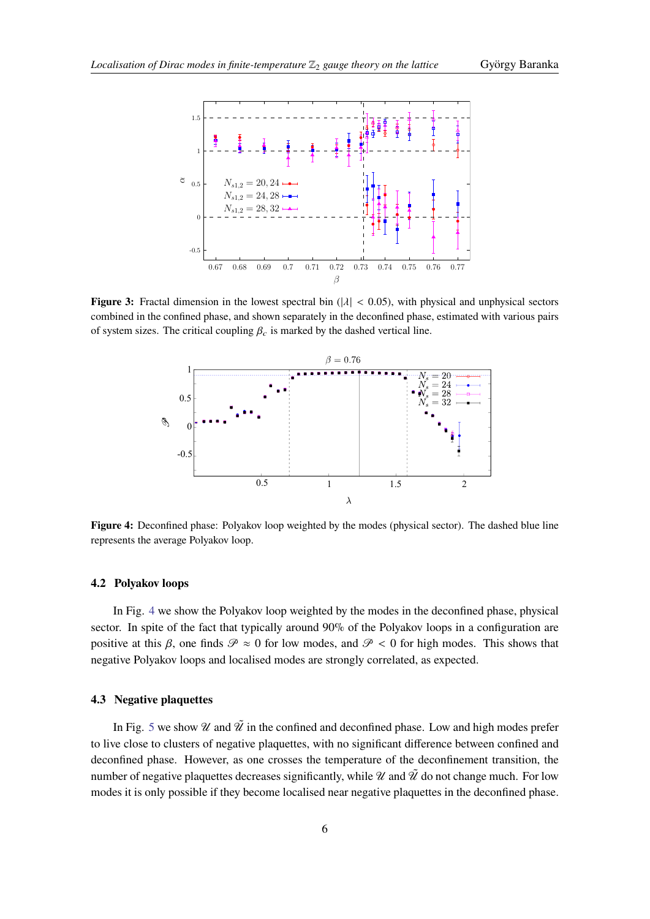<span id="page-5-0"></span>

<span id="page-5-1"></span>**Figure 3:** Fractal dimension in the lowest spectral bin  $(|\lambda| < 0.05)$ , with physical and unphysical sectors combined in the confined phase, and shown separately in the deconfined phase, estimated with various pairs of system sizes. The critical coupling  $\beta_c$  is marked by the dashed vertical line.



**Figure 4:** Deconfined phase: Polyakov loop weighted by the modes (physical sector). The dashed blue line represents the average Polyakov loop.

#### **4.2 Polyakov loops**

In Fig. [4](#page-5-1) we show the Polyakov loop weighted by the modes in the deconfined phase, physical sector. In spite of the fact that typically around 90% of the Polyakov loops in a configuration are positive at this  $\beta$ , one finds  $\mathcal{P} \approx 0$  for low modes, and  $\mathcal{P} < 0$  for high modes. This shows that negative Polyakov loops and localised modes are strongly correlated, as expected.

# **4.3 Negative plaquettes**

In Fig. [5](#page-6-4) we show  $\mathcal U$  and  $\tilde \mathcal U$  in the confined and deconfined phase. Low and high modes prefer to live close to clusters of negative plaquettes, with no significant difference between confined and deconfined phase. However, as one crosses the temperature of the deconfinement transition, the number of negative plaquettes decreases significantly, while  $\mathcal U$  and  $\tilde{\mathcal U}$  do not change much. For low modes it is only possible if they become localised near negative plaquettes in the deconfined phase.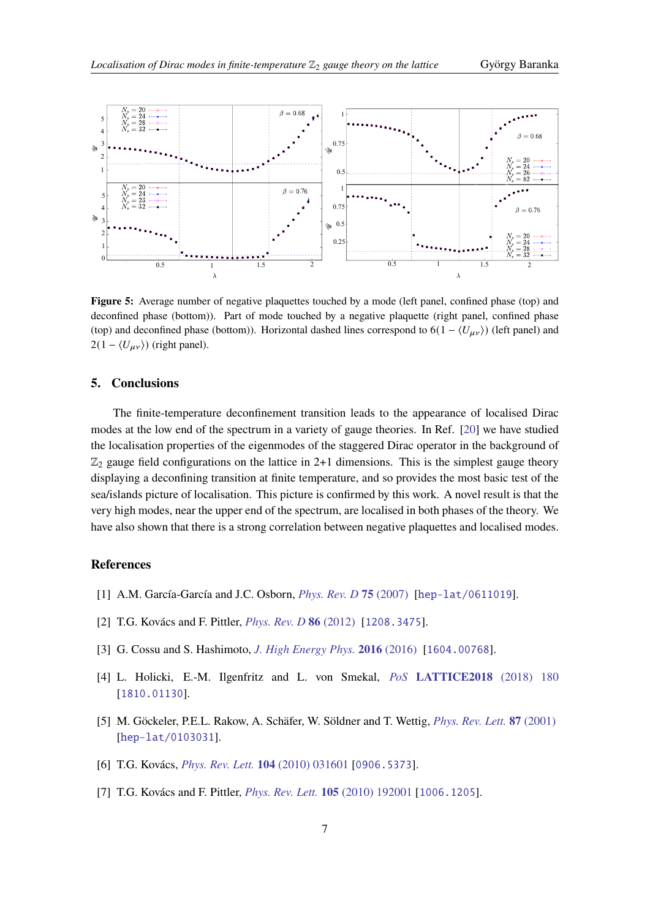<span id="page-6-4"></span>

**Figure 5:** Average number of negative plaquettes touched by a mode (left panel, confined phase (top) and deconfined phase (bottom)). Part of mode touched by a negative plaquette (right panel, confined phase (top) and deconfined phase (bottom)). Horizontal dashed lines correspond to  $6(1 - \langle U_{\mu\nu} \rangle)$  (left panel) and  $2(1 - \langle U_{\mu\nu} \rangle)$  (right panel).

## **5. Conclusions**

The finite-temperature deconfinement transition leads to the appearance of localised Dirac modes at the low end of the spectrum in a variety of gauge theories. In Ref. [\[20\]](#page-7-8) we have studied the localisation properties of the eigenmodes of the staggered Dirac operator in the background of  $\mathbb{Z}_2$  gauge field configurations on the lattice in 2+1 dimensions. This is the simplest gauge theory displaying a deconfining transition at finite temperature, and so provides the most basic test of the sea/islands picture of localisation. This picture is confirmed by this work. A novel result is that the very high modes, near the upper end of the spectrum, are localised in both phases of the theory. We have also shown that there is a strong correlation between negative plaquettes and localised modes.

# **References**

- <span id="page-6-0"></span>[1] A.M. García-García and J.C. Osborn, *[Phys. Rev. D](https://doi.org/10.1103/physrevd.75.034503)* **75** (2007) [[hep-lat/0611019](https://arxiv.org/abs/hep-lat/0611019)].
- [2] T.G. Kovács and F. Pittler, *[Phys. Rev. D](https://doi.org/10.1103/physrevd.86.114515)* **86** (2012) [[1208.3475](https://arxiv.org/abs/1208.3475)].
- <span id="page-6-3"></span>[3] G. Cossu and S. Hashimoto, *[J. High Energy Phys.](https://doi.org/10.1007/jhep06(2016)056)* **2016** (2016) [[1604.00768](https://arxiv.org/abs/1604.00768)].
- <span id="page-6-1"></span>[4] L. Holicki, E.-M. Ilgenfritz and L. von Smekal, *PoS* **[LATTICE2018](https://doi.org/10.22323/1.334.0180)** (2018) 180 [[1810.01130](https://arxiv.org/abs/1810.01130)].
- <span id="page-6-2"></span>[5] M. Göckeler, P.E.L. Rakow, A. Schäfer, W. Söldner and T. Wettig, *[Phys. Rev. Lett.](https://doi.org/10.1103/physrevlett.87.042001)* **87** (2001) [[hep-lat/0103031](https://arxiv.org/abs/hep-lat/0103031)].
- [6] T.G. Kovács, *[Phys. Rev. Lett.](https://doi.org/10.1103/PhysRevLett.104.031601)* **104** (2010) 031601 [[0906.5373](https://arxiv.org/abs/0906.5373)].
- [7] T.G. Kovács and F. Pittler, *[Phys. Rev. Lett.](https://doi.org/10.1103/PhysRevLett.105.192001)* **105** (2010) 192001 [[1006.1205](https://arxiv.org/abs/1006.1205)].